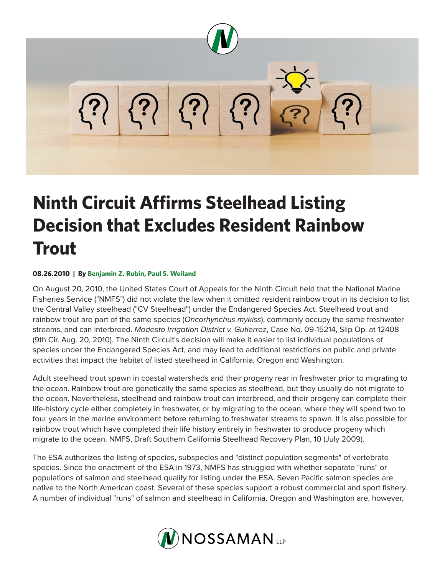

## **Ninth Circuit Affirms Steelhead Listing Decision that Excludes Resident Rainbow Trout**

## **08.26.2010 | By Benjamin Z. Rubin, Paul S. Weiland**

On August 20, 2010, the United States Court of Appeals for the Ninth Circuit held that the National Marine Fisheries Service ("NMFS") did not violate the law when it omitted resident rainbow trout in its decision to list the Central Valley steelhead ("CV Steelhead") under the Endangered Species Act. Steelhead trout and rainbow trout are part of the same species (*Oncorhynchus mykiss*), commonly occupy the same freshwater streams, and can interbreed. *Modesto Irrigation District v. Gutierrez*, Case No. 09-15214, Slip Op. at 12408 (9th Cir. Aug. 20, 2010). The Ninth Circuit's decision will make it easier to list individual populations of species under the Endangered Species Act, and may lead to additional restrictions on public and private activities that impact the habitat of listed steelhead in California, Oregon and Washington.

Adult steelhead trout spawn in coastal watersheds and their progeny rear in freshwater prior to migrating to the ocean. Rainbow trout are genetically the same species as steelhead, but they usually do not migrate to the ocean. Nevertheless, steelhead and rainbow trout can interbreed, and their progeny can complete their life-history cycle either completely in freshwater, or by migrating to the ocean, where they will spend two to four years in the marine environment before returning to freshwater streams to spawn. It is also possible for rainbow trout which have completed their life history entirely in freshwater to produce progeny which migrate to the ocean. NMFS, Draft Southern California Steelhead Recovery Plan, 10 (July 2009).

The ESA authorizes the listing of species, subspecies and "distinct population segments" of vertebrate species. Since the enactment of the ESA in 1973, NMFS has struggled with whether separate "runs" or populations of salmon and steelhead qualify for listing under the ESA. Seven Pacific salmon species are native to the North American coast. Several of these species support a robust commercial and sport fishery. A number of individual "runs" of salmon and steelhead in California, Oregon and Washington are, however,